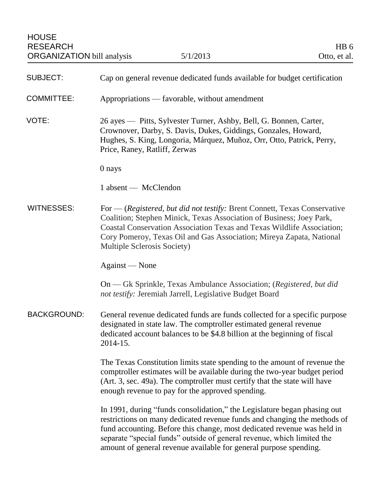| <b>SUBJECT:</b>    | Cap on general revenue dedicated funds available for budget certification                                                                                                                                                                                                                                                                                                      |
|--------------------|--------------------------------------------------------------------------------------------------------------------------------------------------------------------------------------------------------------------------------------------------------------------------------------------------------------------------------------------------------------------------------|
| <b>COMMITTEE:</b>  | Appropriations — favorable, without amendment                                                                                                                                                                                                                                                                                                                                  |
| VOTE:              | 26 ayes — Pitts, Sylvester Turner, Ashby, Bell, G. Bonnen, Carter,<br>Crownover, Darby, S. Davis, Dukes, Giddings, Gonzales, Howard,<br>Hughes, S. King, Longoria, Márquez, Muñoz, Orr, Otto, Patrick, Perry,<br>Price, Raney, Ratliff, Zerwas                                                                                                                                 |
|                    | 0 nays                                                                                                                                                                                                                                                                                                                                                                         |
|                    | 1 absent — McClendon                                                                                                                                                                                                                                                                                                                                                           |
| <b>WITNESSES:</b>  | For — (Registered, but did not testify: Brent Connett, Texas Conservative<br>Coalition; Stephen Minick, Texas Association of Business; Joey Park,<br>Coastal Conservation Association Texas and Texas Wildlife Association;<br>Cory Pomeroy, Texas Oil and Gas Association; Mireya Zapata, National<br>Multiple Sclerosis Society)                                             |
|                    | Against — None                                                                                                                                                                                                                                                                                                                                                                 |
|                    | On — Gk Sprinkle, Texas Ambulance Association; (Registered, but did<br>not testify: Jeremiah Jarrell, Legislative Budget Board                                                                                                                                                                                                                                                 |
| <b>BACKGROUND:</b> | General revenue dedicated funds are funds collected for a specific purpose<br>designated in state law. The comptroller estimated general revenue<br>dedicated account balances to be \$4.8 billion at the beginning of fiscal<br>2014-15.                                                                                                                                      |
|                    | The Texas Constitution limits state spending to the amount of revenue the<br>comptroller estimates will be available during the two-year budget period<br>(Art. 3, sec. 49a). The comptroller must certify that the state will have<br>enough revenue to pay for the approved spending.                                                                                        |
|                    | In 1991, during "funds consolidation," the Legislature began phasing out<br>restrictions on many dedicated revenue funds and changing the methods of<br>fund accounting. Before this change, most dedicated revenue was held in<br>separate "special funds" outside of general revenue, which limited the<br>amount of general revenue available for general purpose spending. |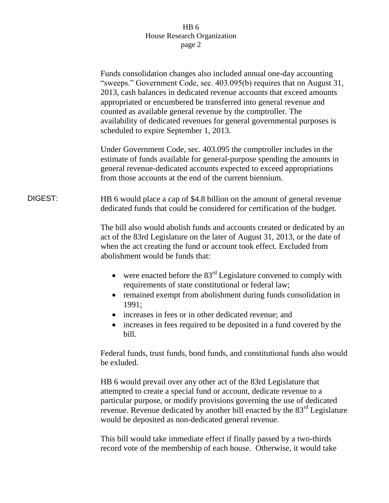|         | Funds consolidation changes also included annual one-day accounting<br>"sweeps." Government Code, sec. 403.095(b) requires that on August 31,<br>2013, cash balances in dedicated revenue accounts that exceed amounts<br>appropriated or encumbered be transferred into general revenue and<br>counted as available general revenue by the comptroller. The<br>availability of dedicated revenues for general governmental purposes is<br>scheduled to expire September 1, 2013. |
|---------|-----------------------------------------------------------------------------------------------------------------------------------------------------------------------------------------------------------------------------------------------------------------------------------------------------------------------------------------------------------------------------------------------------------------------------------------------------------------------------------|
|         | Under Government Code, sec. 403.095 the comptroller includes in the<br>estimate of funds available for general-purpose spending the amounts in<br>general revenue-dedicated accounts expected to exceed appropriations<br>from those accounts at the end of the current biennium.                                                                                                                                                                                                 |
| DIGEST: | HB 6 would place a cap of \$4.8 billion on the amount of general revenue<br>dedicated funds that could be considered for certification of the budget.                                                                                                                                                                                                                                                                                                                             |
|         | The bill also would abolish funds and accounts created or dedicated by an<br>act of the 83rd Legislature on the later of August 31, 2013, or the date of<br>when the act creating the fund or account took effect. Excluded from<br>abolishment would be funds that:                                                                                                                                                                                                              |
|         | were enacted before the 83 <sup>rd</sup> Legislature convened to comply with<br>requirements of state constitutional or federal law;<br>remained exempt from abolishment during funds consolidation in<br>1991;<br>increases in fees or in other dedicated revenue; and<br>increases in fees required to be deposited in a fund covered by the                                                                                                                                    |
|         | bill.<br>Federal funds, trust funds, bond funds, and constitutional funds also would                                                                                                                                                                                                                                                                                                                                                                                              |
|         |                                                                                                                                                                                                                                                                                                                                                                                                                                                                                   |

be exluded.

HB 6 would prevail over any other act of the 83rd Legislature that attempted to create a special fund or account, dedicate revenue to a particular purpose, or modify provisions governing the use of dedicated revenue. Revenue dedicated by another bill enacted by the 83<sup>rd</sup> Legislature would be deposited as non-dedicated general revenue.

This bill would take immediate effect if finally passed by a two-thirds record vote of the membership of each house. Otherwise, it would take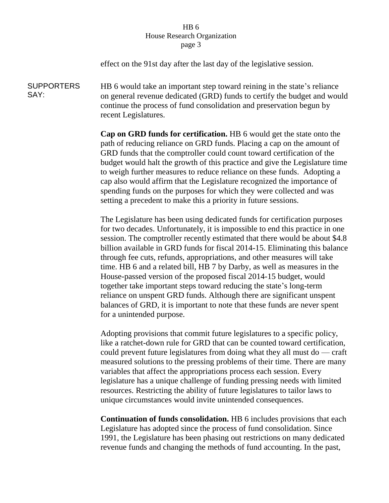effect on the 91st day after the last day of the legislative session. SUPPORTERS SAY: HB 6 would take an important step toward reining in the state's reliance on general revenue dedicated (GRD) funds to certify the budget and would continue the process of fund consolidation and preservation begun by recent Legislatures. **Cap on GRD funds for certification.** HB 6 would get the state onto the path of reducing reliance on GRD funds. Placing a cap on the amount of GRD funds that the comptroller could count toward certification of the budget would halt the growth of this practice and give the Legislature time to weigh further measures to reduce reliance on these funds. Adopting a cap also would affirm that the Legislature recognized the importance of spending funds on the purposes for which they were collected and was setting a precedent to make this a priority in future sessions. The Legislature has been using dedicated funds for certification purposes for two decades. Unfortunately, it is impossible to end this practice in one session. The comptroller recently estimated that there would be about \$4.8 billion available in GRD funds for fiscal 2014-15. Eliminating this balance through fee cuts, refunds, appropriations, and other measures will take time. HB 6 and a related bill, HB 7 by Darby, as well as measures in the House-passed version of the proposed fiscal 2014-15 budget, would together take important steps toward reducing the state's long-term reliance on unspent GRD funds. Although there are significant unspent balances of GRD, it is important to note that these funds are never spent for a unintended purpose.

> Adopting provisions that commit future legislatures to a specific policy, like a ratchet-down rule for GRD that can be counted toward certification, could prevent future legislatures from doing what they all must do — craft measured solutions to the pressing problems of their time. There are many variables that affect the appropriations process each session. Every legislature has a unique challenge of funding pressing needs with limited resources. Restricting the ability of future legislatures to tailor laws to unique circumstances would invite unintended consequences.

> **Continuation of funds consolidation.** HB 6 includes provisions that each Legislature has adopted since the process of fund consolidation. Since 1991, the Legislature has been phasing out restrictions on many dedicated revenue funds and changing the methods of fund accounting. In the past,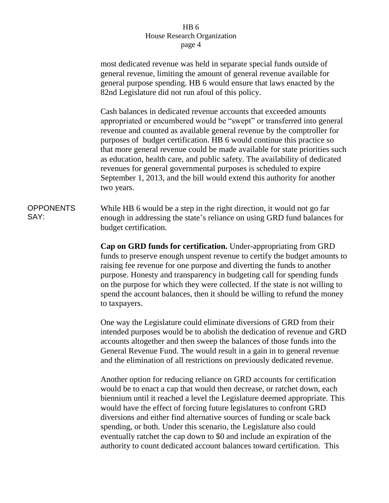most dedicated revenue was held in separate special funds outside of general revenue, limiting the amount of general revenue available for general purpose spending. HB 6 would ensure that laws enacted by the 82nd Legislature did not run afoul of this policy.

Cash balances in dedicated revenue accounts that exceeded amounts appropriated or encumbered would be "swept" or transferred into general revenue and counted as available general revenue by the comptroller for purposes of budget certification. HB 6 would continue this practice so that more general revenue could be made available for state priorities such as education, health care, and public safety. The availability of dedicated revenues for general governmental purposes is scheduled to expire September 1, 2013, and the bill would extend this authority for another two years.

### OPPONENTS SAY:

While HB 6 would be a step in the right direction, it would not go far enough in addressing the state's reliance on using GRD fund balances for budget certification.

**Cap on GRD funds for certification.** Under-appropriating from GRD funds to preserve enough unspent revenue to certify the budget amounts to raising fee revenue for one purpose and diverting the funds to another purpose. Honesty and transparency in budgeting call for spending funds on the purpose for which they were collected. If the state is not willing to spend the account balances, then it should be willing to refund the money to taxpayers.

One way the Legislature could eliminate diversions of GRD from their intended purposes would be to abolish the dedication of revenue and GRD accounts altogether and then sweep the balances of those funds into the General Revenue Fund. The would result in a gain in to general revenue and the elimination of all restrictions on previously dedicated revenue.

Another option for reducing reliance on GRD accounts for certification would be to enact a cap that would then decrease, or ratchet down, each biennium until it reached a level the Legislature deemed appropriate. This would have the effect of forcing future legislatures to confront GRD diversions and either find alternative sources of funding or scale back spending, or both. Under this scenario, the Legislature also could eventually ratchet the cap down to \$0 and include an expiration of the authority to count dedicated account balances toward certification. This